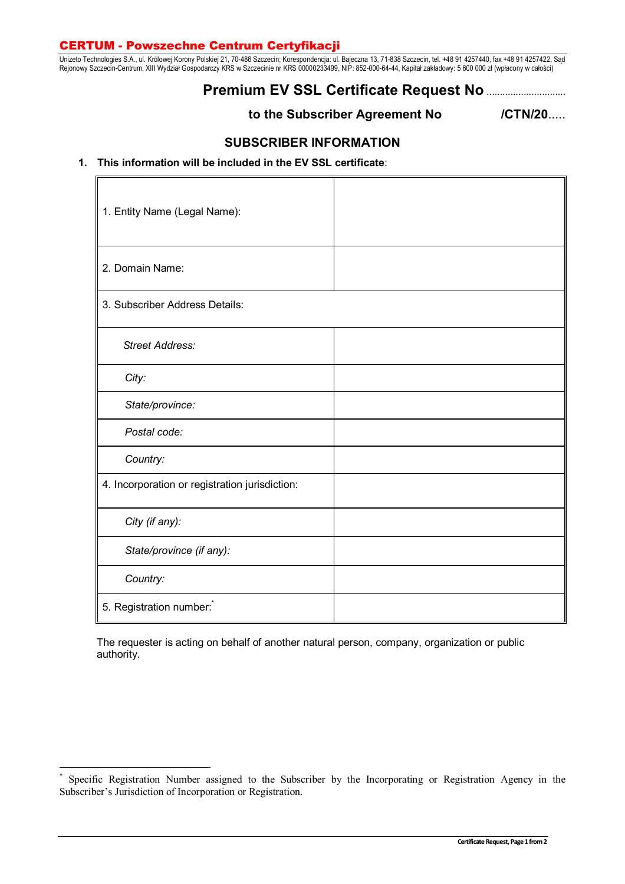### **CERTUM - Powszechne Centrum Certyfikacji**

Unizeto Technologies S.A., ul. Królowej Korony Polskiej 21, 70-486 Szczecin; Korespondencja: ul. Bajeczna 13, 71-838 Szczecin, tel. +48 91 4257440, fax +48 91 4257422, Sąd Rejonowy Szczecin-Centrum, XIII Wydział Gospodarczy KRS w Szczecinie nr KRS 00000233499, NIP: 852-000-64-44, Kapitał zakładowy: 5 600 000 zł (wpłacony w całości)

# **Premium EV SSL Certificate Request No** ..............................

**to the Subscriber Agreement No /CTN/20**.....

## **SUBSCRIBER INFORMATION**

### **1. This information will be included in the EV SSL certificate**:

| 1. Entity Name (Legal Name):                   |  |
|------------------------------------------------|--|
| 2. Domain Name:                                |  |
| 3. Subscriber Address Details:                 |  |
| <b>Street Address:</b>                         |  |
| City:                                          |  |
| State/province:                                |  |
| Postal code:                                   |  |
| Country:                                       |  |
| 4. Incorporation or registration jurisdiction: |  |
| City (if any):                                 |  |
| State/province (if any):                       |  |
| Country:                                       |  |
| 5. Registration number:                        |  |

The requester is acting on behalf of another natural person, company, organization or public authority.

 $\overline{a}$ 

<sup>\*</sup> Specific Registration Number assigned to the Subscriber by the Incorporating or Registration Agency in the Subscriber's Jurisdiction of Incorporation or Registration.